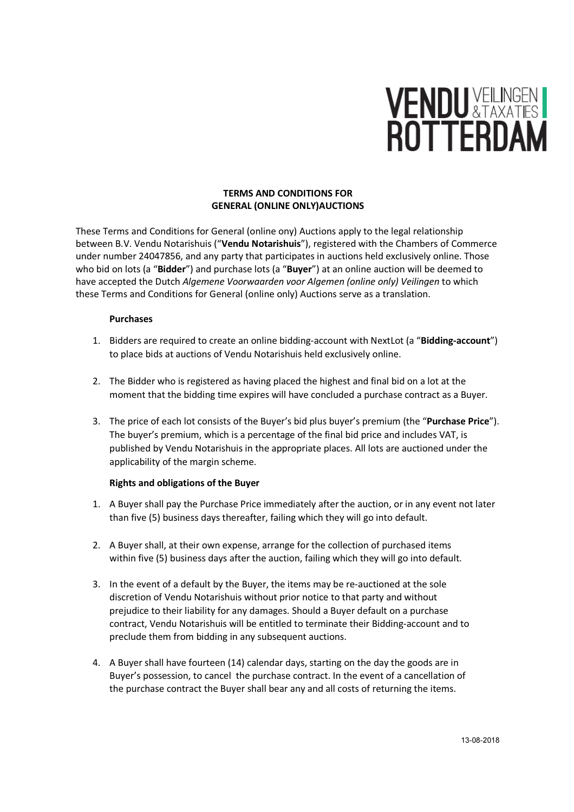# **VENDU VEILINGEN I**<br>ROTTERDAM

### TERMS AND CONDITIONS FOR GENERAL (ONLINE ONLY)AUCTIONS

These Terms and Conditions for General (online ony) Auctions apply to the legal relationship between B.V. Vendu Notarishuis ("Vendu Notarishuis"), registered with the Chambers of Commerce under number 24047856, and any party that participates in auctions held exclusively online. Those who bid on lots (a "Bidder") and purchase lots (a "Buyer") at an online auction will be deemed to have accepted the Dutch Algemene Voorwaarden voor Algemen (online only) Veilingen to which these Terms and Conditions for General (online only) Auctions serve as a translation.

### Purchases

- 1. Bidders are required to create an online bidding-account with NextLot (a "Bidding-account") to place bids at auctions of Vendu Notarishuis held exclusively online.
- 2. The Bidder who is registered as having placed the highest and final bid on a lot at the moment that the bidding time expires will have concluded a purchase contract as a Buyer.
- 3. The price of each lot consists of the Buyer's bid plus buyer's premium (the "Purchase Price"). The buyer's premium, which is a percentage of the final bid price and includes VAT, is published by Vendu Notarishuis in the appropriate places. All lots are auctioned under the applicability of the margin scheme.

## Rights and obligations of the Buyer

- 1. A Buyer shall pay the Purchase Price immediately after the auction, or in any event not later than five (5) business days thereafter, failing which they will go into default.
- 2. A Buyer shall, at their own expense, arrange for the collection of purchased items within five (5) business days after the auction, failing which they will go into default.
- 3. In the event of a default by the Buyer, the items may be re-auctioned at the sole discretion of Vendu Notarishuis without prior notice to that party and without prejudice to their liability for any damages. Should a Buyer default on a purchase contract, Vendu Notarishuis will be entitled to terminate their Bidding-account and to preclude them from bidding in any subsequent auctions.
- 4. A Buyer shall have fourteen (14) calendar days, starting on the day the goods are in Buyer's possession, to cancel the purchase contract. In the event of a cancellation of the purchase contract the Buyer shall bear any and all costs of returning the items.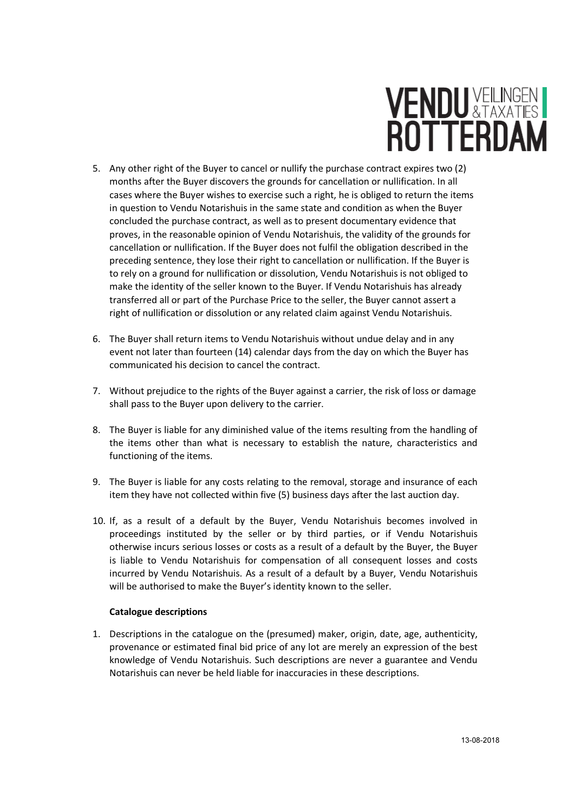# **VENDU XTAXATESI**<br>ROTTERDAM

- 5. Any other right of the Buyer to cancel or nullify the purchase contract expires two (2) months after the Buyer discovers the grounds for cancellation or nullification. In all cases where the Buyer wishes to exercise such a right, he is obliged to return the items in question to Vendu Notarishuis in the same state and condition as when the Buyer concluded the purchase contract, as well as to present documentary evidence that proves, in the reasonable opinion of Vendu Notarishuis, the validity of the grounds for cancellation or nullification. If the Buyer does not fulfil the obligation described in the preceding sentence, they lose their right to cancellation or nullification. If the Buyer is to rely on a ground for nullification or dissolution, Vendu Notarishuis is not obliged to make the identity of the seller known to the Buyer. If Vendu Notarishuis has already transferred all or part of the Purchase Price to the seller, the Buyer cannot assert a right of nullification or dissolution or any related claim against Vendu Notarishuis.
- 6. The Buyer shall return items to Vendu Notarishuis without undue delay and in any event not later than fourteen (14) calendar days from the day on which the Buyer has communicated his decision to cancel the contract.
- 7. Without prejudice to the rights of the Buyer against a carrier, the risk of loss or damage shall pass to the Buyer upon delivery to the carrier.
- 8. The Buyer is liable for any diminished value of the items resulting from the handling of the items other than what is necessary to establish the nature, characteristics and functioning of the items.
- 9. The Buyer is liable for any costs relating to the removal, storage and insurance of each item they have not collected within five (5) business days after the last auction day.
- 10. If, as a result of a default by the Buyer, Vendu Notarishuis becomes involved in proceedings instituted by the seller or by third parties, or if Vendu Notarishuis otherwise incurs serious losses or costs as a result of a default by the Buyer, the Buyer is liable to Vendu Notarishuis for compensation of all consequent losses and costs incurred by Vendu Notarishuis. As a result of a default by a Buyer, Vendu Notarishuis will be authorised to make the Buyer's identity known to the seller.

## Catalogue descriptions

1. Descriptions in the catalogue on the (presumed) maker, origin, date, age, authenticity, provenance or estimated final bid price of any lot are merely an expression of the best knowledge of Vendu Notarishuis. Such descriptions are never a guarantee and Vendu Notarishuis can never be held liable for inaccuracies in these descriptions.